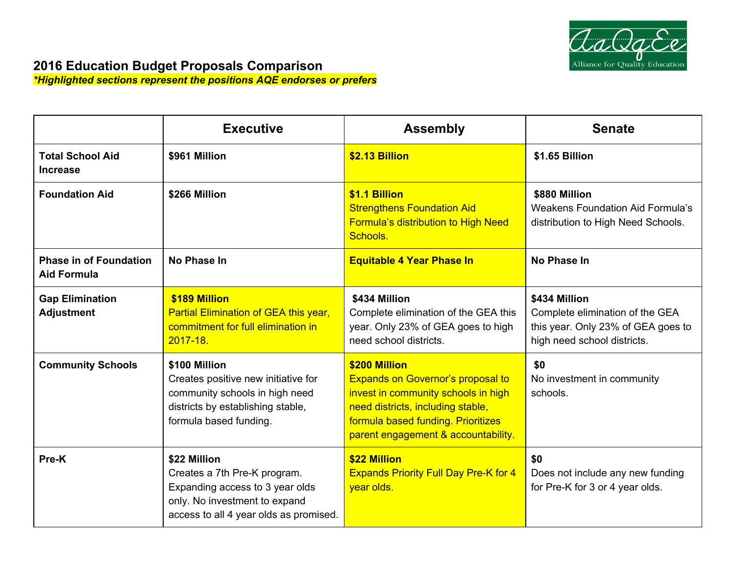

## **2016 Education Budget Proposals Comparison**

*\*Highlighted sections represent the positions AQE endorses or prefers*

|                                                     | <b>Executive</b>                                                                                                                                           | <b>Assembly</b>                                                                                                                                                                                                    | <b>Senate</b>                                                                                                         |
|-----------------------------------------------------|------------------------------------------------------------------------------------------------------------------------------------------------------------|--------------------------------------------------------------------------------------------------------------------------------------------------------------------------------------------------------------------|-----------------------------------------------------------------------------------------------------------------------|
| <b>Total School Aid</b><br><b>Increase</b>          | \$961 Million                                                                                                                                              | \$2.13 Billion                                                                                                                                                                                                     | \$1.65 Billion                                                                                                        |
| <b>Foundation Aid</b>                               | \$266 Million                                                                                                                                              | \$1.1 Billion<br><b>Strengthens Foundation Aid</b><br>Formula's distribution to High Need<br>Schools.                                                                                                              | \$880 Million<br><b>Weakens Foundation Aid Formula's</b><br>distribution to High Need Schools.                        |
| <b>Phase in of Foundation</b><br><b>Aid Formula</b> | No Phase In                                                                                                                                                | <b>Equitable 4 Year Phase In</b>                                                                                                                                                                                   | No Phase In                                                                                                           |
| <b>Gap Elimination</b><br><b>Adjustment</b>         | \$189 Million<br>Partial Elimination of GEA this year,<br>commitment for full elimination in<br>$2017 - 18$ .                                              | \$434 Million<br>Complete elimination of the GEA this<br>year. Only 23% of GEA goes to high<br>need school districts.                                                                                              | \$434 Million<br>Complete elimination of the GEA<br>this year. Only 23% of GEA goes to<br>high need school districts. |
| <b>Community Schools</b>                            | \$100 Million<br>Creates positive new initiative for<br>community schools in high need<br>districts by establishing stable,<br>formula based funding.      | \$200 Million<br><b>Expands on Governor's proposal to</b><br>invest in community schools in high<br>need districts, including stable,<br>formula based funding. Prioritizes<br>parent engagement & accountability. | \$0<br>No investment in community<br>schools.                                                                         |
| Pre-K                                               | \$22 Million<br>Creates a 7th Pre-K program.<br>Expanding access to 3 year olds<br>only. No investment to expand<br>access to all 4 year olds as promised. | \$22 Million<br><b>Expands Priority Full Day Pre-K for 4</b><br>year olds.                                                                                                                                         | \$0<br>Does not include any new funding<br>for Pre-K for 3 or 4 year olds.                                            |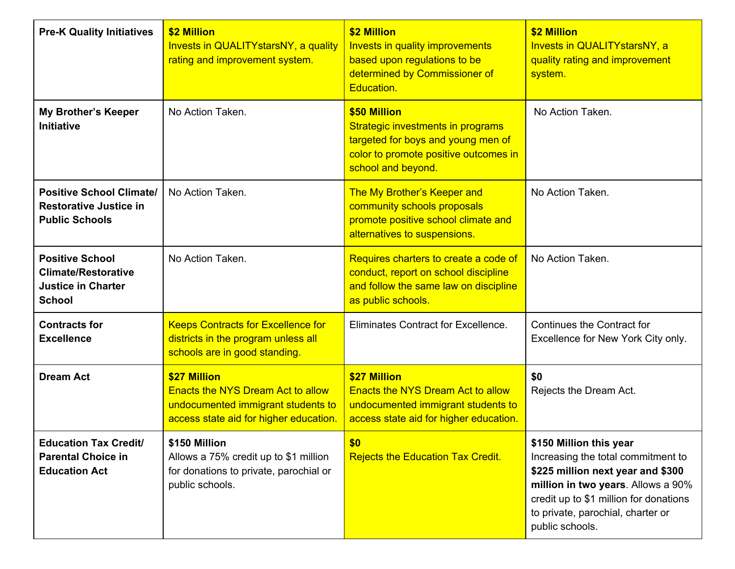| <b>Pre-K Quality Initiatives</b>                                                                   | \$2 Million<br>Invests in QUALITY stars NY, a quality<br>rating and improvement system.                                                  | \$2 Million<br>Invests in quality improvements<br>based upon regulations to be<br>determined by Commissioner of<br>Education.                          | \$2 Million<br>Invests in QUALITY stars NY, a<br>quality rating and improvement<br>system.                                                                                                                                                 |
|----------------------------------------------------------------------------------------------------|------------------------------------------------------------------------------------------------------------------------------------------|--------------------------------------------------------------------------------------------------------------------------------------------------------|--------------------------------------------------------------------------------------------------------------------------------------------------------------------------------------------------------------------------------------------|
| <b>My Brother's Keeper</b><br><b>Initiative</b>                                                    | No Action Taken.                                                                                                                         | \$50 Million<br>Strategic investments in programs<br>targeted for boys and young men of<br>color to promote positive outcomes in<br>school and beyond. | No Action Taken.                                                                                                                                                                                                                           |
| <b>Positive School Climate/</b><br><b>Restorative Justice in</b><br><b>Public Schools</b>          | No Action Taken.                                                                                                                         | The My Brother's Keeper and<br>community schools proposals<br>promote positive school climate and<br>alternatives to suspensions.                      | No Action Taken.                                                                                                                                                                                                                           |
| <b>Positive School</b><br><b>Climate/Restorative</b><br><b>Justice in Charter</b><br><b>School</b> | No Action Taken.                                                                                                                         | Requires charters to create a code of<br>conduct, report on school discipline<br>and follow the same law on discipline<br>as public schools.           | No Action Taken.                                                                                                                                                                                                                           |
| <b>Contracts for</b><br><b>Excellence</b>                                                          | <b>Keeps Contracts for Excellence for</b><br>districts in the program unless all<br>schools are in good standing.                        | Eliminates Contract for Excellence.                                                                                                                    | Continues the Contract for<br>Excellence for New York City only.                                                                                                                                                                           |
| <b>Dream Act</b>                                                                                   | \$27 Million<br><b>Enacts the NYS Dream Act to allow</b><br>undocumented immigrant students to<br>access state aid for higher education. | \$27 Million<br><b>Enacts the NYS Dream Act to allow</b><br>undocumented immigrant students to<br>access state aid for higher education.               | \$0<br>Rejects the Dream Act.                                                                                                                                                                                                              |
| <b>Education Tax Credit/</b><br><b>Parental Choice in</b><br><b>Education Act</b>                  | \$150 Million<br>Allows a 75% credit up to \$1 million<br>for donations to private, parochial or<br>public schools.                      | \$0<br><b>Rejects the Education Tax Credit.</b>                                                                                                        | \$150 Million this year<br>Increasing the total commitment to<br>\$225 million next year and \$300<br>million in two years. Allows a 90%<br>credit up to \$1 million for donations<br>to private, parochial, charter or<br>public schools. |